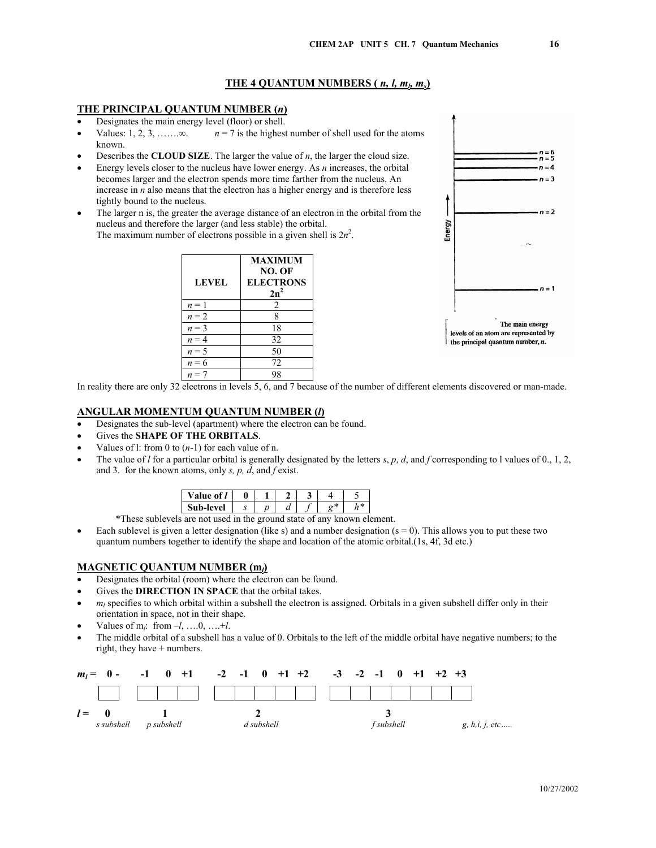## **THE 4 QUANTUM NUMBERS (** $n, l, m_l, m_s$ **)**

### **THE PRINCIPAL QUANTUM NUMBER (***n***)**

- Designates the main energy level (floor) or shell.
- Values: 1, 2, 3, …….. $\infty$ . *n* = 7 is the highest number of shell used for the atoms known.
- Describes the **CLOUD SIZE**. The larger the value of *n*, the larger the cloud size.
- Energy levels closer to the nucleus have lower energy. As *n* increases, the orbital becomes larger and the electron spends more time farther from the nucleus. An increase in *n* also means that the electron has a higher energy and is therefore less tightly bound to the nucleus.
- The larger n is, the greater the average distance of an electron in the orbital from the nucleus and therefore the larger (and less stable) the orbital. The maximum number of electrons possible in a given shell is  $2n^2$ .

| <b>LEVEL</b> | <b>MAXIMUM</b><br>NO. OF<br><b>ELECTRONS</b><br>$2n^2$ |
|--------------|--------------------------------------------------------|
| $n = 1$      | 2                                                      |
| $n = 2$      | 8                                                      |
| $n = 3$      | 18                                                     |
| $n = 4$      | 32                                                     |
| $n = 5$      | 50                                                     |
| $n = 6$      | 72                                                     |
|              |                                                        |



In reality there are only 32 electrons in levels 5, 6, and 7 because of the number of different elements discovered or man-made.

### **ANGULAR MOMENTUM QUANTUM NUMBER (***l***)**

- Designates the sub-level (apartment) where the electron can be found.
- Gives the **SHAPE OF THE ORBITALS**.
- Values of 1: from 0 to  $(n-1)$  for each value of n.
- The value of *l* for a particular orbital is generally designated by the letters *s*, *p*, *d*, and *f* corresponding to l values of 0., 1, 2, and 3. for the known atoms, only *s, p, d*, and *f* exist.

| n-level . | ж٥ |  | -34 |  |
|-----------|----|--|-----|--|

\*These sublevels are not used in the ground state of any known element.

Each sublevel is given a letter designation (like s) and a number designation  $(s = 0)$ . This allows you to put these two quantum numbers together to identify the shape and location of the atomic orbital.(1s, 4f, 3d etc.)

#### **MAGNETIC QUANTUM NUMBER (m***l***)**

- Designates the orbital (room) where the electron can be found.
- Gives the **DIRECTION IN SPACE** that the orbital takes.
- $m_l$  specifies to which orbital within a subshell the electron is assigned. Orbitals in a given subshell differ only in their orientation in space, not in their shape.
- Values of  $m_l$ : from  $-l$ , ..., 0, ..., +*l*.
- The middle orbital of a subshell has a value of 0. Orbitals to the left of the middle orbital have negative numbers; to the right, they have + numbers.

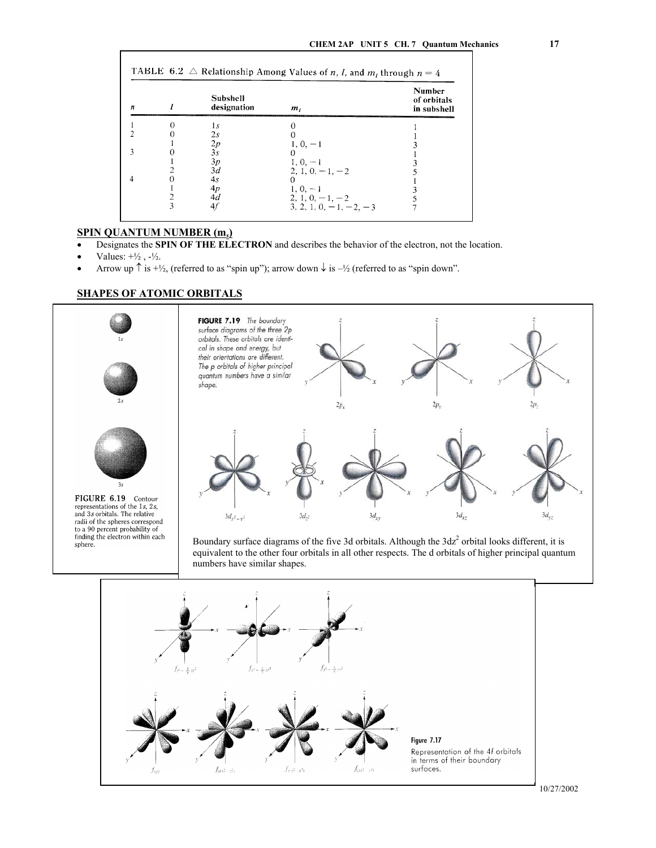| n | <b>Subshell</b><br>designation | m,                             | <b>Number</b><br>of orbitals<br>in subshell |
|---|--------------------------------|--------------------------------|---------------------------------------------|
|   | 1s                             |                                |                                             |
|   | 2s                             |                                |                                             |
|   | 2p                             | $1, 0, -1$                     |                                             |
|   | 3s                             |                                |                                             |
|   | 3p                             | $1, 0, -1$                     |                                             |
|   | 3d                             | $2, 1, 0, -1, -2$              |                                             |
|   | 4s                             |                                |                                             |
|   | 4p                             | $1, 0, -1$                     |                                             |
|   | 4d                             | $2, 1, 0, -1, -2$              |                                             |
|   | 41                             | 3, 2, 1, 0, $-1$ , $-2$ , $-3$ |                                             |

# **SPIN QUANTUM NUMBER (m***s***)**

- Designates the **SPIN OF THE ELECTRON** and describes the behavior of the electron, not the location.
- Values:  $+\frac{1}{2}$ ,  $-\frac{1}{2}$ .

 $\mathbf{I}$ 

Arrow up  $\uparrow$  is  $+\frac{1}{2}$ , (referred to as "spin up"); arrow down  $\downarrow$  is  $-\frac{1}{2}$  (referred to as "spin down".

## **SHAPES OF ATOMIC ORBITALS**

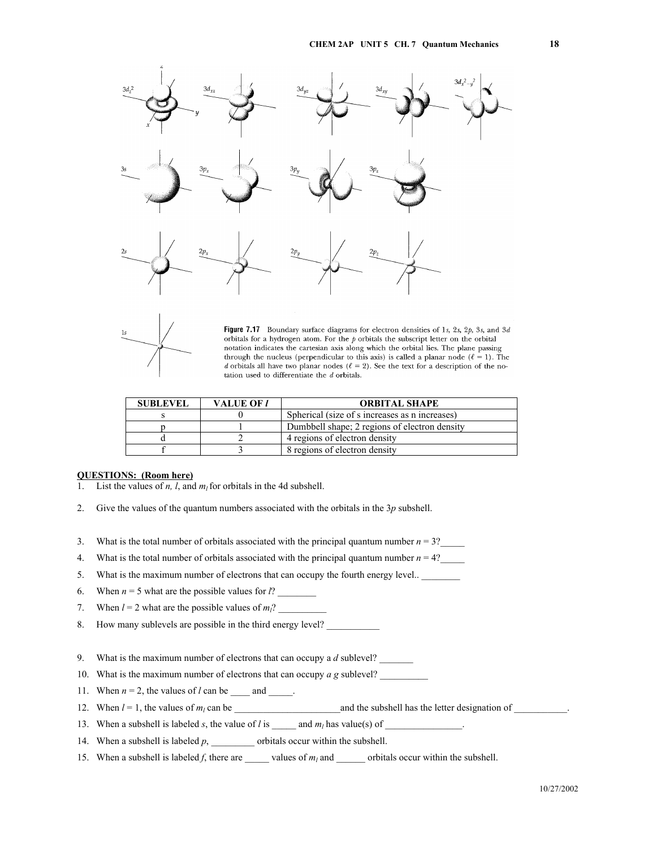



Figure 7.17 Boundary surface diagrams for electron densities of 1s, 2s, 2p, 3s, and 3d orbitals for a hydrogen atom. For the  $p$  orbitals the subscript letter on the orbital notation indicates the cartesian axis along which the orbital lies. The plane passing through the nucleus (perpendicular to this axis) is called a planar node ( $\ell = 1$ ). The d orbitals all have two planar nodes ( $\ell = 2$ ). See the text for a description of the notation used to differentiate the  $d$  orbitals.

| <b>SUBLEVEL</b> | <b>VALUE OF 1</b> | <b>ORBITAL SHAPE</b>                           |
|-----------------|-------------------|------------------------------------------------|
|                 |                   | Spherical (size of s increases as n increases) |
|                 |                   | Dumbbell shape; 2 regions of electron density  |
|                 |                   | 4 regions of electron density                  |
|                 |                   | 8 regions of electron density                  |

### **QUESTIONS: (Room here)**

- 1. List the values of *n*, *l*, and  $m_l$  for orbitals in the 4d subshell.
- 2. Give the values of the quantum numbers associated with the orbitals in the 3*p* subshell.
- 3. What is the total number of orbitals associated with the principal quantum number  $n = 3$ ?
- 4. What is the total number of orbitals associated with the principal quantum number  $n = 4$ ?
- 5. What is the maximum number of electrons that can occupy the fourth energy level.. \_\_\_\_\_\_\_\_
- 6. When  $n = 5$  what are the possible values for  $l$ ?
- 7. When  $l = 2$  what are the possible values of  $m_l$ ?
- 8. How many sublevels are possible in the third energy level?
- 9. What is the maximum number of electrons that can occupy a *d* sublevel?
- 10. What is the maximum number of electrons that can occupy *a g* sublevel?
- 11. When  $n = 2$ , the values of *l* can be \_\_\_\_\_ and \_\_\_\_\_.
- 12. When  $l = 1$ , the values of  $m_l$  can be  $\blacksquare$  and the subshell has the letter designation of  $\blacksquare$ .
- 13. When a subshell is labeled *s*, the value of *l* is \_\_\_\_\_ and *ml* has value(s) of \_\_\_\_\_\_\_\_\_\_\_\_\_\_\_\_.
- 14. When a subshell is labeled *p*, \_\_\_\_\_\_\_\_\_\_ orbitals occur within the subshell.
- 15. When a subshell is labeled *f*, there are \_\_\_\_\_\_ values of  $m_l$  and \_\_\_\_\_\_ orbitals occur within the subshell.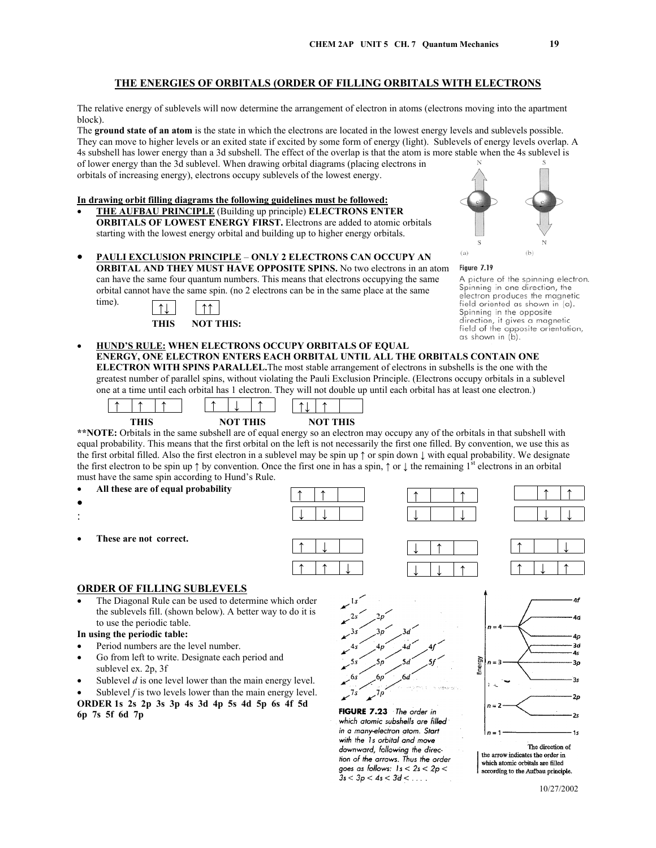The relative energy of sublevels will now determine the arrangement of electron in atoms (electrons moving into the apartment block).

The **ground state of an atom** is the state in which the electrons are located in the lowest energy levels and sublevels possible. They can move to higher levels or an exited state if excited by some form of energy (light). Sublevels of energy levels overlap. A 4s subshell has lower energy than a 3d subshell. The effect of the overlap is that the atom is more stable when the 4s sublevel is of lower energy than the 3d sublevel. When drawing orbital diagrams (placing electrons in orbitals of increasing energy), electrons occupy sublevels of the lowest energy.

#### **In drawing orbit filling diagrams the following guidelines must be followed:**

• **THE AUFBAU PRINCIPLE** (Building up principle) **ELECTRONS ENTER ORBITALS OF LOWEST ENERGY FIRST.** Electrons are added to atomic orbitals starting with the lowest energy orbital and building up to higher energy orbitals.



• **PAULI EXCLUSION PRINCIPLE** – **ONLY 2 ELECTRONS CAN OCCUPY AN ORBITAL AND THEY MUST HAVE OPPOSITE SPINS.** No two electrons in an atom can have the same four quantum numbers. This means that electrons occupying the same orbital cannot have the same spin. (no 2 electrons can be in the same place at the same



- Figure 7.19 A picture of the spinning electron. Spinning in one direction, the electron produces the magnetic field oriented as shown in (a). Spinning in the opposite direction, it gives a magnetic field of the opposite orientation, as shown in (b).
- **HUND'S RULE: WHEN ELECTRONS OCCUPY ORBITALS OF EQUAL ENERGY, ONE ELECTRON ENTERS EACH ORBITAL UNTIL ALL THE ORBITALS CONTAIN ONE ELECTRON WITH SPINS PARALLEL.**The most stable arrangement of electrons in subshells is the one with the greatest number of parallel spins, without violating the Pauli Exclusion Principle. (Electrons occupy orbitals in a sublevel one at a time until each orbital has 1 electron. They will not double up until each orbital has at least one electron.)



**\*\*NOTE:** Orbitals in the same subshell are of equal energy so an electron may occupy any of the orbitals in that subshell with equal probability. This means that the first orbital on the left is not necessarily the first one filled. By convention, we use this as the first orbital filled. Also the first electron in a sublevel may be spin up ↑ or spin down ↓ with equal probability. We designate the first electron to be spin up  $\uparrow$  by convention. Once the first one in has a spin,  $\uparrow$  or  $\downarrow$  the remaining 1<sup>st</sup> electrons in an orbital must have the same spin according to Hund's Rule.



•

time).

- :
- **These are not correct.**





| ∗ |  |  |  | $\mathbb{R}^n$ and $\mathbb{R}^n$ |  |
|---|--|--|--|-----------------------------------|--|







### **ORDER OF FILLING SUBLEVELS**

The Diagonal Rule can be used to determine which order the sublevels fill. (shown below). A better way to do it is to use the periodic table.

# **In using the periodic table:**

- Period numbers are the level number.
- Go from left to write. Designate each period and sublevel ex. 2p, 3f
- Sublevel *d* is one level lower than the main energy level.
- Sublevel *f* is two levels lower than the main energy level. **ORDER 1s 2s 2p 3s 3p 4s 3d 4p 5s 4d 5p 6s 4f 5d**

**6p 7s 5f 6d 7p** 





which atomic subshells are filled in a many-electron atom. Start with the 1s orbital and move downward, following the direction of the arrows. Thus the order goes as follows:  $1s < 2s < 2p <$  $3s < 3p < 4s < 3d < ...$ 

The direction of the arrow indicates the order in which atomic orbitals are filled according to the Aufbau principle.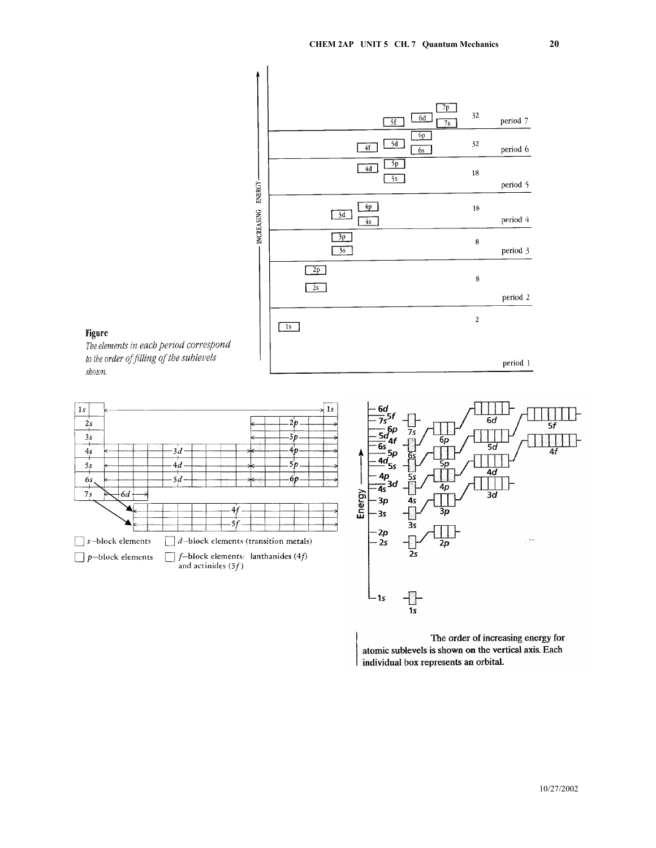

### **Figure**

The elements in each period correspond to the order of filling of the sublevels shown.



The order of increasing energy for atomic sublevels is shown on the vertical axis. Each individual box represents an orbital.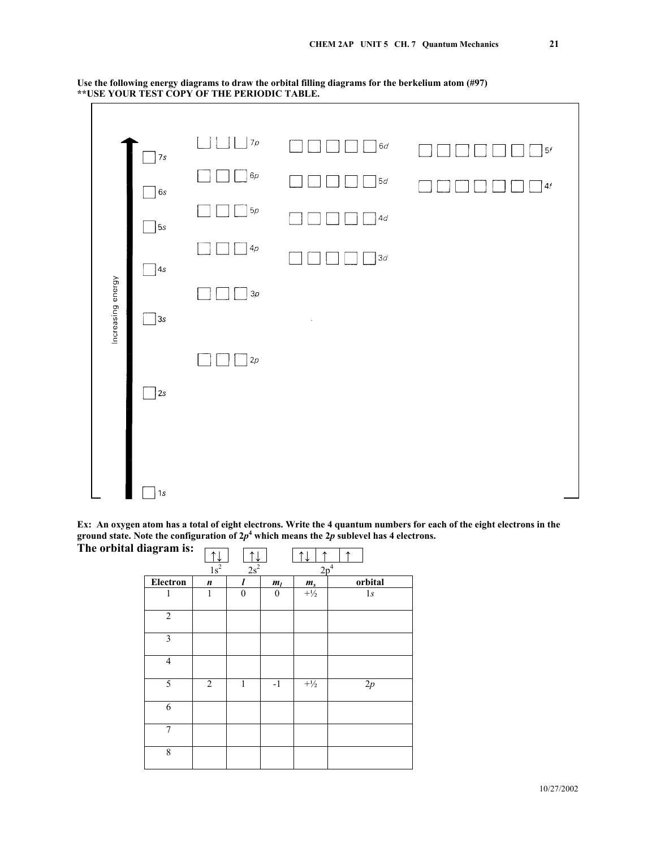![](_page_5_Figure_1.jpeg)

**Use the following energy diagrams to draw the orbital filling diagrams for the berkelium atom (#97) \*\*USE YOUR TEST COPY OF THE PERIODIC TABLE.** 

**Ex: An oxygen atom has a total of eight electrons. Write the 4 quantum numbers for each of the eight electrons in the**  ground state. Note the configuration of  $2p<sup>4</sup>$  which means the  $2p$  sublevel has 4 electrons.

| $\bullet$               | $\overline{\phantom{a}}$ |                  |          |                  |                 | $\overline{\phantom{a}}$ |
|-------------------------|--------------------------|------------------|----------|------------------|-----------------|--------------------------|
| The orbital diagram is: |                          |                  |          |                  |                 |                          |
|                         |                          | $1s^2$           | $2s^2$   |                  | 2p <sup>4</sup> |                          |
|                         | Electron                 | $\boldsymbol{n}$ |          | $m_l$            | $m_s$           | orbital                  |
|                         | 1                        | $\mathbf{1}$     | $\theta$ | $\boldsymbol{0}$ | $+\frac{1}{2}$  | 1s                       |
|                         |                          |                  |          |                  |                 |                          |
|                         | $\overline{2}$           |                  |          |                  |                 |                          |
|                         | $\mathfrak{Z}$           |                  |          |                  |                 |                          |
|                         | $\overline{4}$           |                  |          |                  |                 |                          |
|                         | $\overline{5}$           | $\overline{2}$   | 1        | $-1$             | $+\frac{1}{2}$  | $2p$                     |
|                         | 6                        |                  |          |                  |                 |                          |
|                         | 7                        |                  |          |                  |                 |                          |
|                         | $\,$ $\,$                |                  |          |                  |                 |                          |